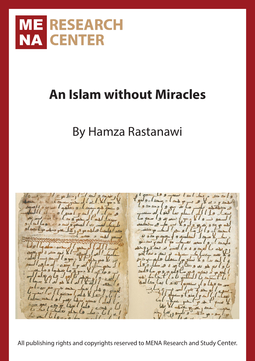

## **An Islam without Miracles**

## By Hamza Rastanawi



All publishing rights and copyrights reserved to MENA Research and Study Center.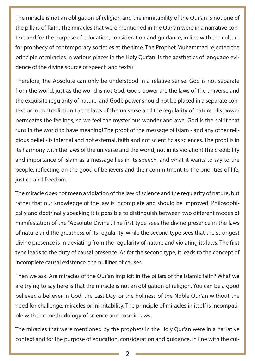The miracle is not an obligation of religion and the inimitability of the Qur'an is not one of the pillars of faith. The miracles that were mentioned in the Qur'an were in a narrative context and for the purpose of education, consideration and guidance, in line with the culture for prophecy of contemporary societies at the time. The Prophet Muhammad rejected the principle of miracles in various places in the Holy Qur'an. Is the aesthetics of language evidence of the divine source of speech and texts?

Therefore, the Absolute can only be understood in a relative sense. God is not separate from the world, just as the world is not God. God's power are the laws of the universe and the exquisite regularity of nature, and God's power should not be placed in a separate context or in contradiction to the laws of the universe and the regularity of nature. His power permeates the feelings, so we feel the mysterious wonder and awe. God is the spirit that runs in the world to have meaning! The proof of the message of Islam - and any other religious belief - is internal and not external, faith and not scientific as sciences. The proof is in its harmony with the laws of the universe and the world, not in its violation! The credibility and importance of Islam as a message lies in its speech, and what it wants to say to the people, reflecting on the good of believers and their commitment to the priorities of life, justice and freedom.

The miracle does not mean a violation of the law of science and the regularity of nature, but rather that our knowledge of the law is incomplete and should be improved. Philosophically and doctrinally speaking it is possible to distinguish between two different modes of manifestation of the "Absolute Divine". The first type sees the divine presence in the laws of nature and the greatness of its regularity, while the second type sees that the strongest divine presence is in deviating from the regularity of nature and violating its laws. The first type leads to the duty of causal presence. As for the second type, it leads to the concept of incomplete causal existence, the nullifier of causes.

Then we ask: Are miracles of the Qur'an implicit in the pillars of the Islamic faith? What we are trying to say here is that the miracle is not an obligation of religion. You can be a good believer, a believer in God, the Last Day, or the holiness of the Noble Qur'an without the need for challenge, miracles or inimitability. The principle of miracles in itself is incompatible with the methodology of science and cosmic laws.

The miracles that were mentioned by the prophets in the Holy Qur'an were in a narrative context and for the purpose of education, consideration and guidance, in line with the cul-

2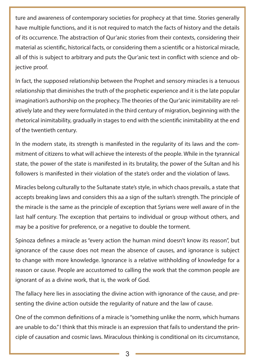ture and awareness of contemporary societies for prophecy at that time. Stories generally have multiple functions, and it is not required to match the facts of history and the details of its occurrence. The abstraction of Qur'anic stories from their contexts, considering their material as scientific, historical facts, or considering them a scientific or a historical miracle, all of this is subject to arbitrary and puts the Qur'anic text in conflict with science and objective proof.

In fact, the supposed relationship between the Prophet and sensory miracles is a tenuous relationship that diminishes the truth of the prophetic experience and it is the late popular imagination's authorship on the prophecy. The theories of the Qur'anic inimitability are relatively late and they were formulated in the third century of migration, beginning with the rhetorical inimitability, gradually in stages to end with the scientific inimitability at the end of the twentieth century.

In the modern state, its strength is manifested in the regularity of its laws and the commitment of citizens to what will achieve the interests of the people. While in the tyrannical state, the power of the state is manifested in its brutality, the power of the Sultan and his followers is manifested in their violation of the state's order and the violation of laws.

Miracles belong culturally to the Sultanate state's style, in which chaos prevails, a state that accepts breaking laws and considers this aa a sign of the sultan's strength. The principle of the miracle is the same as the principle of exception that Syrians were well aware of in the last half century. The exception that pertains to individual or group without others, and may be a positive for preference, or a negative to double the torment.

Spinoza defines a miracle as "every action the human mind doesn't know its reason", but ignorance of the cause does not mean the absence of causes, and ignorance is subject to change with more knowledge. Ignorance is a relative withholding of knowledge for a reason or cause. People are accustomed to calling the work that the common people are ignorant of as a divine work, that is, the work of God.

The fallacy here lies in associating the divine action with ignorance of the cause, and presenting the divine action outside the regularity of nature and the law of cause.

One of the common definitions of a miracle is "something unlike the norm, which humans are unable to do." I think that this miracle is an expression that fails to understand the principle of causation and cosmic laws. Miraculous thinking is conditional on its circumstance,

3